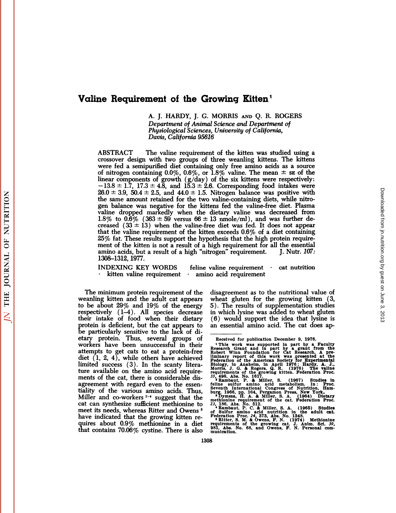# Valine Requirement of the Growing Kitten<sup>1</sup> Valine Requirement of the Growing Kitten<sup>1</sup>

**nent of the Growing Kitten<sup>1</sup>**<br>A. J. HARDY, J. G. MORRIS AND Q. R. ROGERS<br>Department of Animal Science and Department of<br>Physiologieal Sciences University of California *Department of Animal Science and Department of Davis, California 95616* A. J. HARDY, J. G. MORRIS AND Q. R. ROGERS<br>
Department of Animal Science and Department of<br>
Physiological Sciences, University of California,<br>
Davis, California 95616<br>
ABSTRACT The valine requirement of the kitten was stud

ABSTRACT The valine requirement of the kitten was studied using a crossover design with two groups of three weanling kittens. The kittens were fed a semipurified diet containing only free amino acids as a source of nitrog Experiment of Islamical Sciences, University of California,<br>
Davis, California 95616<br>
ABSTRACT The valine requirement of the kitten was studied using a<br>
crossover design with two groups of three weanling kittens. The kitt ABSTRACT The valine requirement of the kitten was studied using a crossover design with two groups of three weanling kittens. The kittens were fed a semipurified diet containing only free amino acids as a source of nitrog ABSTRACT The valine requirement of the kitten was studied using a<br>crossover design with two groups of three weanling kittens. The kittens<br>were fed a semipurified diet containing only free amino acids as a source<br>of nitrog crossover design with two groups of three weanling kittens. The kittens<br>were fed a semipurified diet containing only free amino acids as a source<br>of nitrogen containing 0.0%, 0.6%, or 1.8% valine. The mean  $\pm$  se of the<br> were fed a semipurified diet containing only free amino acids as a source<br>of nitrogen containing 0.0%, 0.6%, or 1.8% valine. The mean  $\pm$  se of the<br>linear components of growth (g/day) of the six kittens were respectively of nitrogen containing 0.0%, 0.6%, or 1.8% valine. The mean  $\pm$  se of the<br>linear components of growth (g/day) of the six kittens were respectively:<br> $-13.8 \pm 1.7$ ,  $17.3 \pm 4.8$ , and  $15.3 \pm 2.6$ . Corresponding food intake linear components of growth ( $g/day$ ) of the six kittens were respectively:<br>  $-13.8 \pm 1.7$ ,  $17.3 \pm 4.8$ , and  $15.3 \pm 2.6$ . Corresponding food intakes were<br>  $26.0 \pm 3.9$ ,  $50.4 \pm 2.5$ , and  $44.0 \pm 1.5$ . Nitrogen balance was  $25.0 \pm 3.9$ ,  $50.4 \pm 2.5$ , and  $44.0 \pm 1.5$ . Nitrogen balance was positive with<br>the same amount retained for the two valine-containing diets, while nitro-<br>gen balance was negative for the kittens fed the valine-free diet the same amount retained for the two valine-containing diets, while nitro-<br>gen balance was negative for the kittens fed the valine-free diet. Plasma<br>valine dropped markedly when the dietary valine was decreased from<br>1.8% gen balance was negative for the kittens fed the valine-free diet. Plasma<br>valine dropped markedly when the dietary valine was decreased from<br>1.8% to  $0.6\%$  ( $363 \pm 59$  versus  $66 \pm 13$  nmole/ml), and was further de-<br>crea amino acids, but a result of a high "nitrogen" requirement.<br>1308–1312, 1977. creased  $(33 \pm 13)$  when the valine-free diet was fed. It does not appear<br>that the valine requirement of the kitten exceeds  $0.6\%$  of a diet containing<br>25% fat. These results support the hypothesis that the high protein ment of the kitten is not a result of a high requirement for all the essential

The minimum protein requirement of the disagreement as to the nutrition<br>
The minimum protein requirement of the disagreement as to the nutritional value of<br>
The minimum protein requirement of the disagreement as to the nu

The minimum protein requirement of the disagreement as to the nutritional value of weanling kitten and the adult cat appears wheat gluten for the growing kitten (3, to be about 29% and 19% of the energy 5). The results of The minimum protein requirement of the weanling kitten and the adult cat appears to be about  $29\%$  and  $19\%$  of the energy respectively  $(1-4)$ . All species decrease their intake of food when their dietary protein is de to be about  $29\%$  and  $19\%$  of the energy b). The results of supplementation studies<br>respectively  $(1-4)$ . All species decrease in which lysine was added to wheat gluten<br>their intake of food when their dietary  $(6)$  wou their intake of food when their dietary<br>protein is deficient, but the cat appears to<br>protein is deficient, but the cat appears to<br>protein is deficient, but the cat appears to<br>protein and example particularly sensitive to be particularly sensitive to the lack of di-<br>etary protein. Thus, several groups of<br>workers have been unsuccessful in their<br>attempts to get cats to eat a protein-free Robert Winn Foundation for Cat Research. A pre-<br>diet attempts to get cats to eat a protein-free Robert Winn Foundation for Cat Research. A predict (1, 2, 4), while others have achieved induction of the American Society for Experimental<br>limited success (3). In the scanty lit limited success (3). In the scanty litera-<br>ture available on the amino acid require-<br>ments of the cat, there is considerable dis-<br> $\frac{35}{18}$ ,  $\frac{196}{18}$ ,  $\frac{1}{18}$ ,  $\frac{1}{18}$ ,  $\frac{1}{18}$ ,  $\frac{1}{18}$ ,  $\frac{1}{18}$ ,  $\frac{$ agreement with regard even to the essentially of the various amino acids. Thus, seventh international Congress of Nutrition, Ham-<br>Miller and co-workers<sup>2-4</sup> suggest that the international Congress of Nutrition, Ham-<br>Miller

THE JOURNAL OF NUTRITION

 $\overline{N}$ 

ISO-1312, 1977.<br>
INDEXING KEY WORDS feline valine requirement cat nutrition<br>  $\cdot$  kitten valine requirement cat amino acid requirement<br>
The minimum protein requirement of the disagreement as to the nutritional value of<br>
w INDEXING KEY WORDS feline valine requirement cat nutrition<br>  $\cdot$  kitten valine requirement  $\cdot$  amino acid requirement<br>
The minimum protein requirement of the disagreement as to the nutritional value of<br>
weanling kitten a Free minimum protein requirement can all the disagreement as to the nutritional value of<br>weanling kitten and the adult cat appears wheat gluten for the growing kitten (3,<br>to be about 29% and 19% of the energy 5). The resu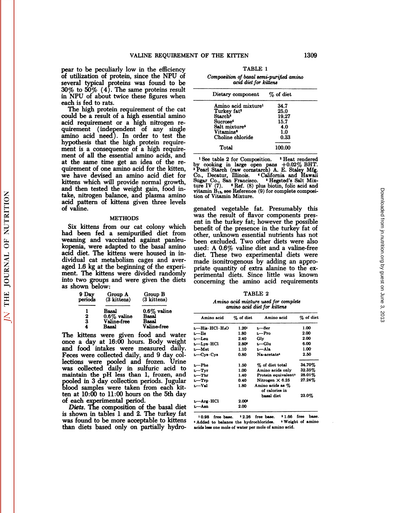VALINE REQUIREMENT OF<br>pear to be peculiarly low in the efficiency<br>of utilization of protein, since the NPU of<br>several typical proteins was found to be VALINE REQUIREMENT<br>pear to be peculiarly low in the efficiency<br>of utilization of protein, since the NPU of<br>several typical proteins was found to be<br> $30\%$  to  $50\%$  (4). The same proteins result VALINE REQUIREMENT OF<br>
pear to be peculiarly low in the efficiency<br>
of utilization of protein, since the NPU of<br>
several typical proteins was found to be<br>
30% to 50% (4). The same proteins result<br>
in NPU of about twice the VALINE REQUIREMENT<br>pear to be peculiarly low in the efficiency<br>of utilization of protein, since the NPU of<br>several typical proteins was found to be<br>30% to 50% (4). The same proteins result<br>in NPU of about twice these figur VALINE REQUIREMENT OF<br>pear to be peculiarly low in the efficiency<br>of utilization of protein, since the NPU of<br>several typical proteins was found to be<br>30% to 50% (4). The same proteins result<br>in NPU of about twice these fi pear to be peculiarly<br>of utilization of protein<br>several typical protein<br>30% to 50%  $(4)$ . The<br>in NPU of about twice<br>each is fed to rats.<br>The high protein re<br>could be a result of a ar to be peculiarly low in the efficiency<br>
utilization of protein, since the NPU of<br>
yeral typical proteins was found to be<br>  $\%$  to  $50\%$  (4). The same proteins result<br>
NPU of about twice these figures when<br>
ch is fed t of utilization of protein, since the NPU of<br>several typical proteins was found to be<br>30% to 50%  $(4)$ . The same proteins result<br>in NPU of about twice these figures when<br>each is fed to rats.<br>The high protein requirement of

several typical proteins was found to be<br>30% to  $50\%$  (4). The same proteins result<br>in NPU of about twice these figures when<br>each is fed to rats.<br>The high protein requirement of the cat<br>could be a result of a high essent  $30\%$  to  $50\%$  (4). The same proteins result<br>in NPU of about twice these figures when<br>each is fed to rats.<br>The high protein requirement of the cat<br>could be a result of a high essential amino<br>acid requirement (independen in NPU of about twice these figures when<br>each is fed to rats.<br>The high protein requirement of the cat<br>could be a result of a high essential amino<br>acid requirement or a high nitrogen re-<br>quirement (independent of any single each is ted to rats.<br>The high protein requirement of the cat<br>could be a result of a high essential amino<br>acid requirement or a high nitrogen re-<br>quirement (independent of any single<br>amino acid need). In order to test the<br>h The high protein requirement of the cat<br>could be a result of a high essential amino<br>acid requirement or a high nitrogen re-<br>quirement (independent of any single<br>amino acid need). In order to test the<br>hypothesis that the hi could be a result of a high essential amino<br>acid requirement or a high nitrogen re-<br>quirement (independent of any single<br>amino acid need). In order to test the<br>hypothesis that the high protein require-<br>ment is a consequen acid requirement or a high nitrogen re-<br>quirement (independent of any single<br>amino acid need). In order to test the<br>hypothesis that the high protein require-<br>ment is a consequence of a high require-<br>ment of all the essent quirement (independent of any single<br>amino acid need). In order to test the<br>hypothesis that the high protein require-<br>ment is a consequence of a high require-<br>ment of all the essential amino acids, and<br>at the same time get hypothesis that the high protein require-<br>ment is a consequence of a high require-<br>ment of all the essential amino acids, and<br>at the same time get an idea of the re-<br>quirement of one amino acid for the kitten,  $\frac{1}{1}$  S hypothesis that the high protein requirement is a consequence of a high requirement of all the essential amino acids, and at the same time get an idea of the requirement of one amino acid for the kitten, we have devised a ment is a consequence of a high require-<br>ment of all the essential amino acids, and<br>at the same time get an idea of the re-<br>by computement of one amino acid for the kitten,  ${}^{1}$  Pear:<br>we have devised an amino acid diet ment of all the essential amino acids, and<br>at the same time get an idea of the re-<br>quirement of one amino acid for the kitten,  $\cdot$  Pearl<br>we have devised an amino acid diet for Co., I<br>kittens which will provide normal gro at the same time get an idea of the re-<br>quirement of one amino acid for the kitten,  $P_{\text{ee}}$ <br>we have devised an amino acid diet for  $C_0$ ,<br>kittens which will provide normal growth,  $\frac{S_{\text{Hgg}}}{\text{gand}}$ <br>and then tested th quirement of<br>we have dev<br>kittens which<br>and then test<br>take, nitroger<br>acid pattern<br>of valine. d then tested the weight gain, food in-<br>
six hitrogen balance, and plasma amino tion of<br>
id pattern of kittens given three levels<br>
valine.<br>
METHODS<br>
Six kittens from our cat colony which then<br>
d been fed a semipurified die

#### METHODS

take, nitrogen balance, and plasma amino<br>acid pattern of kittens given three levels<br>of valine.<br>METHODS<br>was the rest of the past of the pattern our cat colony which<br>had been fed a semipurified diet from other, unk<br>weaning a acid pattern of kittens given three level<br>of valine.<br>METHODS<br>Six kittens from our cat colony which<br>had been fed a semipurified diet from<br>weaning and vaccinated against panleu<br>kopenia, were adapted to the basal amino of valine.<br>
METHODS<br>
Was twas the conduction of the basal amino and vaccinated against panleu-<br>
kopenia, were adapted to the basal amino used:<br>
acid diet. The kittens were housed in in-<br>
dividual cat metabolism cages and a METHODS<br>
art is<br>
act to diet in the semipurified diet from<br>
the kittens from our cat colony which<br>
weaning and vaccinated against panleu-<br>
been<br>
kopenia, were adapted to the basal amino<br>
acid diet. The kittens were housed Six kittens from our cat colony which<br>had been fed a semipurified diet from<br>weaning and vaccinated against panleu-<br>kopenia, were adapted to the basal amino<br>acid diet. The kittens were housed in in-<br>dividual cat metabolism Six kittens from our cat colony which<br>had been fed a semipurified diet from<br>weaning and vaccinated against panleu-<br>kopenia, were adapted to the basal amino<br>acid diet. The kittens were housed in in-<br>dividual cat metabolism mad been ted a semipurified diet from other<br>weaning and vaccinated against panleu-been<br>kopenia, were adapted to the basal amino used:<br>acid diet. The kittens were housed in in-<br>diet,<br>dividual cat metabolism cages and aver-<br> weaning and vaccinated against panieu-<br>kopenia, were adapted to the basal amino<br>acid diet. The kittens were housed in in-<br>dividual cat metabolism cages and aver-<br>maged 1.6 kg at the beginning of the experi-<br>printent. The k acid diet. The kittens were housed in in-<br>dividual cat metabolism cages and aver-<br>aged 1.6 kg at the beginning of the experi-<br>ment. The kittens were divided randomly<br>into two groups and were given the diets<br>as shown below: 1.6 kg at the beginning of the experi-<br>
1.6 kg at the beginning of the experi-<br>
The kittens were divided randomly<br>
wo groups and were given the diets<br>
wn below:<br>
9 Day Group A Group B<br>
(3 kittens)<br>
3 Aittens) The beginning of the experiments were divided random<br>
s and were given the divided random<br>  $\frac{V}{3}$ :<br>  $\frac{1}{3}$ :<br>  $\frac{3}{1}$ <br>  $\frac{3}{1}$ <br>  $\frac{3}{1}$ <br>  $\frac{3}{1}$ <br>  $\frac{8\%}{1}$   $\frac{1}{1}$ into two groups and were given the diets

| own below:       |                        |                        |
|------------------|------------------------|------------------------|
| 9 Day<br>periods | Group A<br>(3 kittens) | Group B<br>(3 kittens) |
|                  | Basal                  | $0.6\%$ valine         |
|                  | $0.6\%$ valine         | <b>Basal</b>           |
| $\frac{2}{3}$    | Valine-free            | Basal                  |
| 4                | Basal                  | <b>Valine-free</b>     |
|                  |                        |                        |

The kittens were given food and water once a day at 16:00 hours. Body weight  $\begin{array}{c|c|c|c} \hline \text{potsus} & \text{potsus} \\ \hline 1 & \text{Basal} & 0.6\% \text{ value} & - \\ 2 & 0.6\% \text{ value} & \text{Basal} & - \\ 3 & \text{Valine-free} & \text{Basal} & - \\ 4 & \text{Basal} & \text{Valine-free} & - \\ \hline \end{array}$ 1 Basal  $0.6\%$  valine  $-$ <br>
2  $0.6\%$  valine Basal  $-$ <br>
3 Valine-free Basal  $-$ <br>
4 Basal Valine-free  $\frac{1}{L}$ <br>
The kittens were given food and water  $\frac{1}{L}$ <br>
once a day at 16:00 hours. Body weight  $\frac{1}{L}$ <br>
and food i  $\begin{array}{ccc} & 2 & 0.6\% \text{ value} & \text{Basal} \ 3 & \text{Valine-free} & \text{Basal} \ \text{Value} & \text{Value-free} & \text{Value-free} \end{array}$ <br>
The kittens were given food and water  $\begin{array}{ccc} \text{Line} & \text{Line} \ \text{Line} \ \text{and} & \text{food} \ \text{intakes} & \text{were} \ \text{measured} & \text{daily} \ \text{L} \ \text{E} & \text{E} \ \text{E} & \text{E} \ \text{E} & \text{E} \ \$ The kittens were given food and water<br>
The kittens were given food and water<br>
once a day at 16:00 hours. Body weight<br>
and food intakes were measured daily.  $L-Me$ <br>
Feces were collected daily, and 9 day col-<br>
lections were The kittens were given food and water  $L$ —His-<br>
once a day at 16:00 hours. Body weight  $L$ —Leu<br>
and food intakes were measured daily.  $L$ —Met<br>
Feces were collected daily, and 9 day col-<br>
lections were pooled and frozen. U The kittens were given tood and water<br>
once a day at 16:00 hours. Body weight<br>
and food intakes were measured daily.<br>
Feces were collected daily, and 9 day col-<br>
lections were pooled and frozen. Urine<br>
was collected daily once a day at 16:00 hours. Body weight<br>
and food intakes were measured daily. L-<br>
Feces were collected daily, and 9 day collections<br>
were pooled and frozen. Urine<br>
was collected daily in sulfuric acid to<br>
maintain the pH and food intakes were measured daily.  $L$ <br>Feces were collected daily, and 9 day col-<br>lections were pooled and frozen. Urine<br>was collected daily in sulfuric acid to  $L$ <br>maintain the pH less than 1, frozen, and<br>pooled in 3 Feces were collected daily, and 9 day col-<br>lections were pooled and frozen. Urine<br>was collected daily in sulfuric acid to  $\frac{L-\text{Pre}}{L-\text{Trr}}$ <br>maintain the pH less than 1, frozen, and  $\frac{L-\text{Trr}}{L-\text{Trr}}$ <br>pooled in 3 day c lections were pooled and froz<br>was collected daily in sulfurin<br>maintain the pH less than 1, fi<br>pooled in 3 day collection period<br>blood samples were taken from<br>ten at 10:00 to 11:00 hours on the<br>of each experimental period.<br> as collected daily in sulfuric acid to  $\frac{1}{L}$ <br>intain the pH less than 1, frozen, and  $\frac{1}{L}$ -<br>oled in 3 day collection periods. Jugular<br> $\frac{1}{L}$ -<br>od samples were taken from each kit-<br> $\frac{1}{L}$ -<br>a at 10:00 to 11:00 h maintain the pH less than 1, frozen, and  $\overline{u}$ —The 1.40 Frotein e<br>pooled in 3 day collection periods. Jugular  $u$ —The 1.40 Frotein e<br>blood samples were taken from each kit- $\overline{v}$ —Val 1.80 Amino acid<br>ten at 10:00 to 1 ten at  $10:00$  to  $11:00$  hours on the 5th day

pooled in 3 day collection periods. Jugular  $v$ --T<br>blood samples were taken from each kit-<br>ten at 10:00 to 11:00 hours on the 5th day<br>of each experimental period.<br>*Diets*. The composition of the basal diet  $\frac{v-A}{v-A}$ <br>is

| <b>THE KITTEN</b>                                                 | 1309                  |
|-------------------------------------------------------------------|-----------------------|
| TABLE 1                                                           |                       |
| Composition of basal semi-purified amino<br>acid diet for kittens |                       |
| Distant component                                                 | $\sigma$ and $\sigma$ |

| Dietary component $\%$ of diet  |        |
|---------------------------------|--------|
| Amino acid mixture <sup>1</sup> | 34.7   |
| Turkey fat <sup>2</sup>         | 25.0   |
| Starch <sup>3</sup>             | 19.27  |
| Sucrose <sup>4</sup>            | 15.7   |
| Salt mixture <sup>5</sup>       | 4.0    |
| Vitamins <sup>6</sup>           | 1.0    |
| Choline chloride                | 0.33   |
| Total                           | 100.00 |

Co., Decatur, Illinois. 4California and Hawaii Sugar Co., San Francisco. 6Hegsted's Salt Mix Total 100.00<br>
1990 - The Holes of Composition. <sup>2</sup> Heat rendered<br>
by cooking in large open pans  $+0.02\%$  BHT.<br>
<sup>2</sup> Pearl Starch (raw cornstarch) A. E. Staley Mfg.<br>
Co., Decatur, Illinois. <sup>4</sup> California and Hawaii<br>
Sugar <sup>1</sup> See table 2 for Composition. <sup>2</sup> Heat rendered<br>by cooking in large open pans  $+0.02\%$  BHT.<br><sup>2</sup> Pearl Starch (raw cornstarch) A. E. Staley Mfg.<br>Co., Decatur, Illinois. <sup>4</sup> California and Hawaii<br>Sugar Co., San Francisc Pearl Starch (raw cornstarch) A. E. Staley Mfg.<br>Co., Decatur, Illinois. 'California and Hawaii<br>Sugar Co., San Francisco. 'Hegsted's Salt Mix-<br>ture IV (7). 'Ref. (8) plus biotin, folic acid and<br>vitamin H<sub>14</sub>, see Reference Co., Decatur, Illinois. <br>
Sugar Co., San Francisco. <br>
Sugar Co., San Francisco. <br>
i Hegsted's Salt Mix-<br>
ture IV (7). • Ref. (8) plus biotin, folic acid and<br>
vitamin B<sub>14</sub>, see Reference (9) for complete composi-<br>
tion o

Sugar O., San Francisco. The posture IV (7).  $\bullet$  Ref. (8) plus biotin, folic acid and<br>vitamin B<sub>19</sub>, see Reference (9) for complete composi-<br>tion of Vitamin Mixture.<br>genated vegetable fat. Presumably this<br>was the result witamin  $\hat{B}_{1i}$ , see Reference (9) for complete composition of Vitamin Mixture.<br>genated vegetable fat. Presumably this<br>was the result of flavor components pres-<br>ent in the turkey fat; however the possible<br>benefit of th tion of Vitamin Mixture.<br>
genated vegetable fat. Presumably this<br>
was the result of flavor components pres-<br>
ent in the turkey fat; however the possible<br>
benefit of the presence in the turkey fat of<br>
other, unknown essenti genated vegetable fat. Presumably this<br>was the result of flavor components pres-<br>ent in the turkey fat; however the possible<br>benefit of the presence in the turkey fat of<br>other, unknown essential nutrients has not<br>been excl genated vegetable fat. Presumably this<br>was the result of flavor components pres-<br>ent in the turkey fat; however the possible<br>benefit of the presence in the turkey fat of<br>other, unknown essential nutrients has not<br>been excl was the result of flavor components pres-<br>ent in the turkey fat; however the possible<br>benefit of the presence in the turkey fat of<br>other, unknown essential nutrients has not<br>been excluded. Two other diets were also<br>used: A ent in the turkey tat; however the possible<br>benefit of the presence in the turkey fat of<br>other, unknown essential nutrients has not<br>been excluded. Two other diets were also<br>used: A 0.6% valine diet and a valine-free<br>diet. benefit of the presence in the turkey fat of<br>other, unknown essential nutrients has not<br>been excluded. Two other diets were also<br>used: A 0.6% valine diet and a valine-free<br>diet. These two experimental diets were<br>made isoni other, unknown essential nutrients has not<br>been excluded. Two other diets were also<br>used: A 0.6% valine diet and a valine-free<br>diet. These two experimental diets were<br>made isonitrogenous by adding an appro-<br>priate quantity been excluded. Two other diets were also<br>used: A 0.6% valine diet and a valine-free<br>diet. These two experimental diets were<br>made isonitrogenous by adding an appro-<br>priate quantity of extra alanine to the ex-<br>perimental die diet. These two experimental diets were<br>made isonitrogenous by adding an appro-<br>priate quantity of extra alanine to the ex-<br>perimental diets. Since little was known<br>concerning the amino acid requirements<br>TABLE 2<br>*Amino aci* quantity or extra aianine to the ex-<br> *Amino acid mixture used for complete*<br> *Amino acid mixture used for complete*<br> *Amino acid mixture used for complete*<br> *Amino acid diet for kittens* diets. Since little was l<br>the amino acid require<br>TABLE 2<br>*a acid mixture used for complete*<br>amino acid diet for kittens<br> $\frac{w_{\alpha}}{w_{\alpha}}$  of diet **Amino acid** 

| Amino acid                                    | % of diet | Amino acid                         | % of diet         |
|-----------------------------------------------|-----------|------------------------------------|-------------------|
| $L$ —His $\cdot$ HCl $\cdot$ H <sub>2</sub> O | 1.201     | $L$ –Ser                           | 1.00              |
| L—Ile                                         | 1.80      | $L-Pro$                            | 2.00              |
| L-Leu                                         | 2.40      | Gly                                | 2.00              |
| $L$ -Lys $HCl$                                | $2.80^2$  | L-Glu                              | 6.00              |
| L-Met                                         | 1.10      | L-Ala                              | 1.00 <sub>1</sub> |
| $L$ –Cys $C$ ys                               | 0.80      | Na-acetate <sup>4</sup>            | 2.50              |
| L-Phe                                         | 1.50      | % of diet total                    | 34.70%            |
| $L-Tyr$                                       | 1.00      | Amino acids only                   | 32.35%            |
| $L$ –Thr                                      | 1.40      | Protein equivalent <sup>®</sup>    | 28.01%            |
| $L-Trp$                                       | 0.40      | Nitrogen $\times 6.25$             | 27.24%            |
| $L$ —Val                                      | 1.80      | Amino acids as %<br>of calories in |                   |
|                                               |           | basal diet                         | 23.0%             |
| L-Arg HCl                                     | $2.00*$   |                                    |                   |
| 1. <sup>Asn</sup>                             | 2.00      |                                    |                   |

basal diet 23.0%<br>
L-Arg. HCl 2.00<br>
10.98 free base. \*2.26 free base. \*1.66 free base.<br>
\*Added to balance the hydrochlorides. \*Weight of amino<br>
acids less one mole of water per mole of amino acid.  $\frac{L - \text{Arg} \cdot \text{R}}{2.00}$ <br>  $\frac{10.98 \text{ free base.}}{4 \text{ added to balance the hydrochlorides.}}$  Weight is acids less one mole of water per mole of amino acid.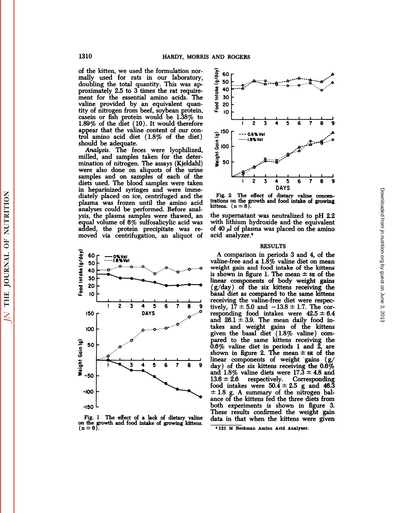of the kitten, we used the formulation normally used for rats in our laboratory, doubling the total quantity. This was approximately 2.5 to 3 times the rat requirement for the essential amino acids. The valine provided by an equivalent quantity of nitrogen from beef, soybean protein, casein or fish protein would be 1.38% to 1.89% of the diet (10). It would therefore appear that the valine content of our control amino acid diet (1.8% of the diet) should be adequate.

Analysis. The feces were lyophilized,<br>milled, and samples taken for the determination of nitrogen. The assays (Kjeldahl) were also done on aliquots of the urine samples and on samples of each of the diets used. The blood samples were taken in heparinized syringes and were immediately placed on ice, centrifuged and the plasma was frozen until the amino acid analyses could be performed. Before analysis, the plasma samples were thawed, an equal volume of 6% sulfosalicylic acid was added, the protein precipitate was removed via centrifugation, an aliquot of



Fig. 1 The effect of a lack of dietary valine<br>on the growth and food intake of growing kittens.<br> $(n = 6)$ .



Fig. 2 The effect of dietary valine concentrations on the growth and food intake of growing kittens.  $(n = 6)$ .

the supernatant was neutralized to pH 2.2 with lithium hydroxide and the equivalent of 40  $\mu$  of plasma was placed on the amino acid analyzer.<sup>6</sup>

### **RESULTS**

A comparison in periods 3 and 4, of the valine-free and a 1.8% valine diet on mean weight gain and food intake of the kittens is shown in figure 1. The mean  $\pm$  se of the linear components of body weight gains  $(g/day)$  of the six kittens receiving the basal diet as compared to the same kittens receiving the valine-free diet were respectively,  $17 \pm 5.0$  and  $-13.8 \pm 1.7$ . The corresponding food intakes were  $42.5 \pm 6.4$ and  $26.1 \pm 3.9$ . The mean daily food intakes and weight gains of the kittens given the basal diet  $(1.8\% \text{ value})$  compared to the same kittens receiving the 0.6% valine diet in periods 1 and 2, are<br>shown in figure 2. The mean  $\pm$  se of the linear components of weight gains (g/ day) of the six kittens receiving the  $0.6\%$ <br>and  $1.8\%$  valine diets were  $17.3 \pm 4.8$  and Corresponding  $13.6 \pm 2.6$ respectively. food intakes were  $50.\dot{4} \pm 2.5$  g and 46.3  $\pm$  1.8 g. A summary of the nitrogen balance of the kittens fed the three diets from both experiments is shown in figure 3. These results confirmed the weight gain data in that when the kittens were given

THE JOURNAL OF NUTRITION

 $\overline{N}$ 

**<sup>&#</sup>x27;121 M Beckman Amino Acid Analyser.**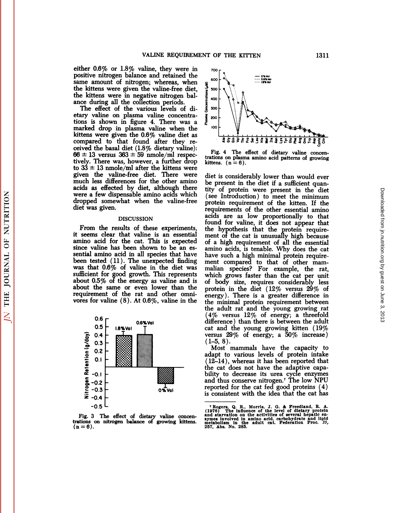VALINE REQUIREMENT OF<br>either 0.6% or 1.8% valine, they were in<br>positive nitrogen balance and retained the<br>same amount of nitrogen: whereas when VALINE REQUIREMENT OF SCHOTED STATE  $0.6\%$  or  $1.8\%$  valine, they were in positive nitrogen balance and retained the same amount of nitrogen; whereas, when  $\frac{1}{3}$   $\infty$  the kittens were given the valine-free diet VALINE REQUIREMENT OF<br>
either 0.6% or 1.8% valine, they were in<br>
positive nitrogen balance and retained the<br>
same amount of nitrogen; whereas, when<br>
the kittens were in negative nitrogen bal. VALINE REQUIREMENT<br>
either 0.6% or 1.8% valine, they were in<br>
positive nitrogen balance and retained the<br>
same amount of nitrogen; whereas, when<br>
the kittens were given the valine-free diet,<br>
the kittens were in negative vALINE REQUIREMENT<br>
either 0.6% or 1.8% valine, they were in<br>
positive nitrogen balance and retained the<br>
same amount of nitrogen; whereas, when<br>
the kittens were given the valine-free diet,<br>
the kittens were in negative either 0.6% or 1.8% valine, they were in<br>positive nitrogen balance and retained the<br>same amount of nitrogen; whereas, where<br>the kittens were given the valine-free diet<br>the kittens were in negative nitrogen bal<br>ance during positive nitrogen balance and retained the<br>same amount of nitrogen; whereas, when<br>the kittens were given the valine-free diet,<br>the kittens were in negative nitrogen bal-<br>ance during all the collection periods.<br>The effect positive nitrogen balance and retained the<br>same amount of nitrogen; whereas, when<br>the kittens were given the valine-free diet,<br>the kittens were in negative nitrogen bal-<br>ance during all the collection periods.<br>The effect o

same amount of nitrogen; whereas, when<br>the kittens were given the valine-free diet,<br>the kittens were in negative nitrogen bal-<br>ance during all the collection periods.<br>The effect of the various levels of di-<br>etary valine o the kittens were given the valine-free diet,<br>
the kittens were in negative nitrogen bal-<br>
ance during all the collection periods.<br>
The effect of the various levels of di-<br>
etary valine on plasma valine concentra-<br>
tions i the kittens were in negative nitrogen bal-<br>ance during all the collection periods.<br>The effect of the various levels of di-<br>etary valine on plasma valine concentra-<br>tions is shown in figure 4. There was a<br>marked drop in pl ance during all the collection periods.<br>
The effect of the various levels of di-<br>
etary valine on plasma valine concentra-<br>
tions is shown in figure 4. There was a<br>
marked drop in plasma valine when the<br>
kittens were give The effect of the various levels of di-<br>etary valine on plasma valine concentra-<br>tions is shown in figure 4. There was a<br>marked drop in plasma valine when the<br>kittens were given the 0.6% valine diet as<br>compared to that fo tions is shown in figure 4. There was a  $\frac{3}{6}$  marked drop in plasma valine when the<br>kittens were given the 0.6% valine diet as<br>compared to that found after they re-<br>ceived the basal diet (1.8% dietary valine):<br> $66 \pm 1$ kittens were given the 0.6% valine diet as<br>compared to that found after they re-<br>ceived the basal diet (1.8% dietary valine):<br> $66 \pm 13$  versus  $363 \pm 59$  nmole/ml respec-<br>tively. There was, however, a further drop<br>to  $33 \$ compared to that found after they re-<br>ceived the basal diet  $(1.8\%$  dietary valine):<br> $66 \pm 13$  versus  $363 \pm 59$  nmole/ml respec-<br>tration<br>tively. There was, however, a further drop kittens<br>to  $33 \pm 13$  nmole/ml after the ceived the basal diet  $(1.8\%$  dietary valine):<br>  $66 \pm 13$  versus  $363 \pm 59$  nmole/ml respectively. There was, however, a further drop kitter<br>
to  $33 \pm 13$  nmole/ml after the kittens were<br>
given the valine-free diet. Ther  $66 + 13$  versus  $363 \pm 59$  nmole/ml respec-<br>tively. There was, however, a further drop<br>tively. There was, however, a further drop<br>to  $33 \pm 13$  nmole/ml after the kittens were<br>given the valine-free diet. There were diet is tively. There was, however, a further drop<br>to  $33 \pm 13$  nmole/ml after the kittens were<br>given the valine-free diet. There were diet<br>much less differences for the other amino be p<br>acids as effected by diet, although there to  $33 \pm 13$  nmole/r<br>given the valine-<br>much less differenced<br>acids as effected<br>were a few dispension<br>dropped somewha<br>diet was given.<br>DIS From the results of the cat. This is expected<br>interesting of the results of these experiments,<br>results of these experiments,<br>these experiments,<br>interest of the results of these experiments,<br>into acid for the cat. This is e

#### **DISCUSSION**

were a rew dispensable amino acids which<br>dropped somewhat when the valine-free<br>diet was given.<br>DISCUSSION<br>From the results of these experiments,<br>it seems clear that valine is an essential<br>amino acid for the cat. This is ex diet was given.<br>
aliet was given.<br>
DISCUSSION<br>
DISCUSSION<br>
From the results of these experiments, the lit<br>
it seems clear that valine is an essential ment<br>
amino acid for the cat. This is expected of a<br>
since valine has be experiments, the<br>property of these experiments, the<br>it seems clear that valine is an essential mediation<br>amino acid for the cat. This is expected of<br>since valine has been shown to be an es-<br>sential amino acid in all specie DISCUSSION<br>
foun<br>
it seems clear that valine is an essential<br>
amino acid for the cat. This is expected<br>
since valine has been shown to be an es-<br>
sential amino acid in all species that have<br>
been tested (11). The unexpecte From the results of these experiments, the<br>it seems clear that valine is an essential mer<br>amino acid for the cat. This is expected of a<br>since valine has been shown to be an es-<br>amino section and in all species that have<br>b it seems clear that valine is an essential meanino acid for the cat. This is expected of since valine has been shown to be an essential amino acid in all species that have have been tested  $(11)$ . The unexpected finding m amino acid for the cat. This is expected of a<br>since valine has been shown to be an es-<br>sential amino acid in all species that have have<br>been tested  $(11)$ . The unexpected finding men<br>was that  $0.6\%$  of valine in the diet since valine has been shown to be an es-<br>sential amino acid in all species that have have<br>been tested (11). The unexpected finding ment<br>was that 0.6% of valine in the diet was maliis<br>sufficient for good growth. This repre sential amino acid in all species that have<br>been tested (11). The unexpected finding<br>was that 0.6% of valine in the diet was<br>sufficient for good growth. This represents<br>about 0.5% of the energy as valine and is<br>about the been tested (11). The unexpected finding ment<br>was that 0.6% of valine in the diet was malis<br>sufficient for good growth. This represents whice<br>about 0.5% of the energy as valine and is of b<br>about the same or even lower tha

THE JOURNAL OF NUTRITION

 $\overline{N}$ 



 $- 0.5 \text{ Vg}$ <br> $- 0.6 \text{K} \text{Vg}$ Fig. 4 The effect of dietary valine concentions on plasma amino acid patterns of growing<br>tens.  $(n = 6)$ . the stations of plasma amino acid patterns of growing<br>states. (n = 6). kittens. (n = 6).

between that the proton acids are as low proportionally to that<br>found for valine, it does not appear that<br>it seems clear that valine is an essential<br>amino acid for the cat. This is expected of a high requirement of all the  $\frac{1}{4} \frac{1}{6} \frac{1}{6} \frac{1}{5} \frac{1}{6} \frac{1}{6} \frac{1}{6} \frac{1}{6} \frac{1}{6} \frac{1}{6} \frac{1}{6} \frac{1}{6} \frac{1}{6} \frac{1}{6} \frac{1}{6} \frac{1}{6} \frac{1}{6} \frac{1}{6} \frac{1}{6} \frac{1}{6} \frac{1}{6} \frac{1}{6} \frac{1}{6} \frac{1}{6} \frac{1}{6} \frac{1}{6} \frac{1}{6} \frac{1}{6} \frac{1}{6} \frac{1}{6} \frac{1}{6} \frac{$ Fig. 4 The effect of dietary valine concentrations on plasma amino acid patterns of growing<br>kittens. ( $n = 6$ ).<br>diet is considerably lower than would ever<br>be present in the diet if a sufficient quan-<br>tity of protein were p Fig. 4 The effect of dietary valine concentrations on plasma amino acid patterns of growing<br>kittens.  $(n = 6)$ .<br>diet is considerably lower than would ever<br>be present in the diet if a sufficient quan-<br>tity of protein were pr trations on plasma amino acid patterns of growing<br>kittens.  $(n = 6)$ .<br>diet is considerably lower than would ever<br>be present in the diet if a sufficient quan-<br>tity of protein were present in the diet<br>(see Introduction) to me kittens.  $(n = 6)$ .<br>
diet is considerably lower than would ever<br>
be present in the diet if a sufficient quan-<br>
tity of protein were present in the diet<br>
(see Introduction) to meet the minimum<br>
protein requirement of the kit diet is considerably lower than would ever<br>be present in the diet if a sufficient quan-<br>tity of protein were present in the diet<br>(see Introduction) to meet the minimum<br>protein requirement of the kitten. If the<br>requirements be present in the diet if a sufficient quantity of protein were present in the diet (see Introduction) to meet the minimum protein requirement of the kitten. If the requirements of the other essential amino acids are as lo be present in the diet if a sufficient quantity of protein were present in the diet (see Introduction) to meet the minimum<br>protein requirement of the kitten. If the requirements of the other essential amino<br>acids are as lo tity of protein were present in the diet<br>
(see Introduction) to meet the minimum<br>
protein requirement of the kitten. If the<br>
requirements of the other essential amino<br>
acids are as low proportionally to that<br>
found for val (see Introduction) to meet the minimum<br>protein requirement of the kitten. If the<br>requirements of the other essential amino<br>acids are as low proportionally to that<br>found for valine, it does not appear that<br>the hypothesis t protein requirement of the kitten. If the<br>requirements of the other essential amino<br>acids are as low proportionally to that<br>found for valine, it does not appear that<br>the hypothesis that the protein require-<br>ment of the cat requirements of the other essential amino<br>acids are as low proportionally to that<br>found for valine, it does not appear that<br>the hypothesis that the protein require-<br>ment of the cat is unusually high because<br>of a high requi acids are as low proportionally to that<br>found for valine, it does not appear that<br>the hypothesis that the protein require-<br>ment of the cat is unusually high because<br>of a high requirement of all the essential<br>amino acids, i found for valine, it does not appear that<br>the hypothesis that the protein require-<br>ment of the cat is unusually high because<br>of a high requirement of all the essential<br>amino acids, is tenable. Why does the cat<br>have such a the hypothesis that the protein requirement of the cat is unusually high because<br>of a high requirement of all the essential<br>amino acids, is tenable. Why does the cat<br>have such a high minimal protein require-<br>ment compared ment of the cat is unusually high because<br>of a high requirement of all the essential<br>amino acids, is tenable. Why does the cat<br>have such a high minimal protein require-<br>ment compared to that of other mam-<br>malian species? of a high requirement of all the essential<br>amino acids, is tenable. Why does the cat<br>have such a high minimal protein require-<br>ment compared to that of other mam-<br>malian species? For example, the rat,<br>which grows faster t amino acids, is tenable. Why does the cat<br>have such a high minimal protein require-<br>ment compared to that of other mam-<br>malian species? For example, the rat,<br>which grows faster than the cat per unit<br>of body size, requires ment compared to that of other mam-<br>malian species? For example, the rat,<br>which grows faster than the cat per unit<br>of body size, requires considerably less<br>protein in the diet  $(12\%$  versus  $29\%$  of<br>energy). There is a malian species? For example, the rat, which grows faster than the cat per unit of body size, requires considerably less protein in the diet  $(12\%$  versus  $29\%$  of energy). There is a greater difference in the minimal pr which grows faster than the cat per unit<br>of body size, requires considerably less<br>protein in the diet  $(12\%$  versus  $29\%$  of<br>energy). There is a greater difference in<br>the minimal protein requirement between<br>the adult ra which grows faster than the cat per unit<br>of body size, requires considerably less<br>protein in the diet  $(12\% \text{ versus } 29\% \text{ of}$ <br>energy). There is a greater difference in<br>the minimal protein requirement between<br>the adult rat protein in the diet  $(12\%$  versus  $29\%$  of energy). There is a greater difference in the minimal protein requirement between the adult rat and the young growing rat  $(4\%$  versus  $12\%$  of energy; a threefold difference protein in the diet  $(12\%$  versus  $29\%$  of<br>energy). There is a greater difference in<br>the minimal protein requirement between<br>the adult rat and the young growing rat<br> $(4\%$  versus  $12\%$  of energy; a threefold<br>difference energy). There is a greater difference in<br>the minimal protein requirement between<br>the adult rat and the young growing rat<br> $(4\%$  versus  $12\%$  of energy; a threefold<br>difference) than there is between the adult<br>cat and the  $(1-5, 8)$ . e adult rat and the young growing rat<br>  $\%$  versus 12% of energy; a threefold<br>
fference) than there is between the adult<br>
t and the young growing kitten (19%<br>
rsus 29% of energy; a 50% increase)<br>  $-5, 8$ ).<br>
Most mammals h (4% versus 12% of energy; a threefold<br>difference) than there is between the adult<br>cat and the young growing kitten (19%<br>versus 29% of energy; a 50% increase)<br>(1–5, 8).<br>Most mammals have the capacity to<br>adapt to various le

difference) than there is between the adult<br>cat and the young growing kitten  $(19\%$ <br>versus 29% of energy; a 50% increase)<br> $(1-5, 8)$ .<br>Most mammals have the capacity to<br>adapt to various levels of protein intake<br> $(12-14)$ , cat and the young growing kitten  $(19\%$ <br>versus 29% of energy; a 50% increase)<br> $(1-5, 8)$ .<br>Most mammals have the capacity to<br>adapt to various levels of protein intake<br> $(12-14)$ , whereas it has been reported that<br>the cat d Most mammals have the capacity to<br>adapt to various levels of protein intake<br> $(12-14)$ , whereas it has been reported that<br>the cat does not have the adaptive capa-<br>bility to decrease its urea cycle enzymes<br>and thus conserve adapt to various levels of protein intake (12–14), whereas it has been reported that<br>the cat does not have the adaptive capa-<br>bility to decrease its urea cycle enzymes<br>and thus conserve nitrogen.<sup>7</sup> The low NPU<br>reported f

and thus conserve nitrogen.<sup>7</sup> The low NPU<br>reported for the cat fed good proteins (4)<br>is consistent with the idea that the cat has<br>well is consistent with the idea that the cat has<br>well (1976) The influence of the level of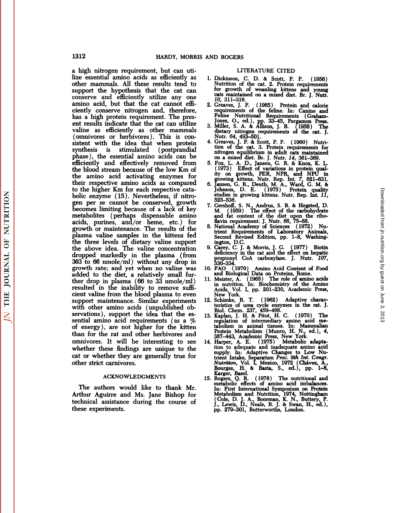1312 HARDY, MORRIS AND ROGERS<br>a high nitrogen requirement, but can uti-<br>lize essential amino acids as efficiently as 1. Dickinson,<br>other mammals. All these results tend to Nutrition of 1312<br> **EXECUTE:**<br> **EXECUTE:**<br> **EXECUTE:**<br> **EXECUTE:**<br> **EXECUTE:**<br> **EXECUTE:**<br> **EXECUTE:**<br> **EXECUTE:**<br> **EXECUTE:**<br> **EXECUTE:**<br> **EXECUTE:**<br> **EXECUTE:**<br> **EXECUTE:**<br> **EXECUTE:**<br> **EXECUTE:**<br> **EXECUTE:**<br> **EXECUTE:**<br> **EXECUTE:**<br> 1312 **HARDY, MORRIS AND**<br>
a high nitrogen requirement, but can uti-<br>
lize essential amino acids as efficiently as 1. Dis<br>
other mammals. All these results tend to Nu<br>
support the hypothesis that the cat can for<br>
conserve a 1312 HARDY, MORRIS AND<br>
a high nitrogen requirement, but can uti-<br>
lize essential amino acids as efficiently as<br>
other mammals. All these results tend to<br>
support the hypothesis that the cat can<br>
conserve and efficiently u support the hypothesis that the cat can for growth of conserve and efficiently utilize any one  $10$ , 311-316.<br>amino acid, but that the cat cannot effi- 2. Greaves, J. P. a high nitrogen requirement, but can utilize essential amino acids as efficiently as<br>other mammals. All these results tend to<br>support the hypothesis that the cat can<br>conserve and efficiently utilize any one<br>amino acid, but a high nitrogen requirement, but can uti-<br>lize essential amino acids as efficiently as<br>other mammals. All these results tend to<br>support the hypothesis that the cat can<br>conserve and efficiently utilize any one<br>amino acid, b lize essential amino acids as efficiently as<br>
other mammals. All these results tend to<br>
support the hypothesis that the cat can<br>
conserve and efficiently utilize any one<br>
amino acid, but that the cat cannot effi-<br>
ciently other mammals. All these results tend to<br>support the hypothesis that the cat can<br>conserve and efficiently utilize any one  $\alpha$ <br>amino acid, but that the cat cannot effi-<br>ciently conserve nitrogen and, therefore, <br>has a hig support the hypothesis that the cat can<br>conserve and efficiently utilize any one<br>amino acid, but that the cat cannot effi-<br>ciently conserve nitrogen and, therefore,<br>has a high protein requirement. The pres-<br>ent results ind conserve and efficiently utilize any one<br>
imino acid, but that the cat cannot effi-<br>
2. G<br>
ciently conserve nitrogen and, therefore,<br>
has a high protein requirement. The pres-<br>
ent results indicate that the cat can utiliz amino acid, but that the cat cannot effi-<br>ciently conserve nitrogen and, therefore,<br>has a high protein requirement. The pres-<br>ent results indicate that the cat can utilize<br>valine as efficiently as other mammals<br>(omnivores has a high protein requirement. The present results indicate that the cat can utilize valine as efficiently as other mammals (omnivores or herbivores). This is consistent with the idea that when protein synthesis is stimul ent results indicate that the cat can utilize<br>valine as efficiently as other mammals<br>(omnivores or herbivores). This is con-<br>sistent with the idea that when protein<br>sistent with the idea that when protein<br>synthesis is sti ent results indicate that the cat can utilize<br>valine as efficiently as other mammals dietary<br>(omnivores or herbivores). This is con-<br>sistent with the idea that when protein<br>synthesis is stimulated (postprandial tion of<br>ph valine as efficiently as other mammals<br>
(omnivores or herbivores). This is con-<br>
sistent with the idea that when protein<br>
synthesis is stimulated (postprandial<br>
phase), the essential amino acids can be<br>
efficiently and eff (omnivores or herbivores). This is consistent with the idea that when protein<br>synthesis is stimulated (postprandial<br>phase), the essential amino acids can be<br>efficiently and effectively removed from 5.<br>the blood stream bec sistent with the idea that when protein<br>synthesis is stimulated (postprandial in<br>phase), the essential amino acids can be<br>efficiently and effectively removed from 5. F<br>the blood stream because of the low Km of<br>the amino a synthesis is stimulated (postprandial<br>phase), the essential amino acids can be<br>efficiently and effectively removed from<br>the blood stream because of the low Km of<br>the amino acid activating enzymes for<br>their respective amino phase), the essential amino acids can be<br>efficiently and effectively removed from 5. F<br>the blood stream because of the low Km of<br>the amino acid activating enzymes for<br>their respective amino acids as compared 6.  $\frac{g}{f}$ <br> efficiently and effectively removed from 5. For<br>the blood stream because of the low Km of<br>the amino acid activating enzymes for the<br>their respective amino acids as compared 6. Ja<br>to the higher Km for each respective cata-<br> the blood stream because of the low Km of<br>
the amino acid activating enzymes for<br>
their respective amino acids as compared<br>
to the higher Km for each respective cata-<br>
bolic enzyme (15). Nevertheless, if nitro-<br>
studies ( the amino acid activating enzymes for<br>
their respective amino acids as compared<br>
to the higher Km for each respective cata-<br>
bolic enzyme (15). Nevertheless, if nitro-<br>
gen per se cannot be conserved, growth<br>
becomes limit their respective amino acids as compared<br>to the higher Km for each respective cata-<br>bolic enzyme (15). Nevertheless, if nitro-<br>gen per se cannot be conserved, growth<br>becomes limiting because of a lack of key<br>metabolites (p to the higher Km for each respective cata-<br>bolic enzyme (15). Nevertheless, if nitro-<br>gen per se cannot be conserved, growth 7. C<br>becomes limiting because of a lack of key<br>metabolites (perhaps dispensable amino<br>acids, pur bolic enzyme (15). Nevertheless, if nitro-<br>gen per se cannot be conserved, growth<br>becomes limiting because of a lack of key<br>metabolites (perhaps dispensable amino an<br>acids, purines, and/or heme, etc.) for<br>growth or mainte gen per se cannot be conserved, growth<br>becomes limiting because of a lack of key<br>metabolites (perhaps dispensable amino<br>acids, purines, and/or heme, etc.) for<br>growth or maintenance. The results of the<br>plasma valine samples becomes limiting because of a lack of key<br>metabolites (perhaps dispensable amino<br>acids, purines, and/or heme, etc.) for<br>growth or maintenance. The results of the<br>plasma valine samples in the kittens fed<br>the three levels o metabolites (perhaps dispensable amino and fat<br>acids, purines, and/or heme, etc.) for flavin re<br>growth or maintenance. The results of the 8. National<br>plasma valine samples in the kittens fed second<br>the three levels of die acids, purines, and/or heme, etc.) for<br>growth or maintenance. The results of the<br>plasma valine samples in the kittens fed<br>the three levels of dietary valine support<br>the above idea. The valine concentration 9. Ca<br>dropped m growth or maintenance. The results of the<br>plasma valine samples in the kittens fed<br>the three levels of dietary valine support<br>the above idea. The valine concentration<br>dropped markedly in the plasma (from<br>363 to 66 nmole/m plasma valine samples in the kittens ted<br>the three levels of dietary valine support<br>the above idea. The valine concentration<br>dropped markedly in the plasma (from<br>363 to 66 nmole/ml) without any drop in<br>growth rate; and yet the three levels of dietary valine support<br>the above idea. The valine concentration<br>dropped markedly in the plasma (from<br>363 to 66 nmole/ml) without any drop in<br>growth rate; and yet when no valine was<br>added to the diet, a the above idea. The valine concentration<br>dropped markedly in the plasma (from<br>363 to 66 nmole/ml) without any drop in<br>growth rate; and yet when no valine was<br>added to the diet, a relatively small fur-<br>ther drop in plasma dropped markedly in the plasma (from  $363$  to 66 nmole/ml) without any drop in  $33$  growth rate; and yet when no valine was  $10.$  F/ added to the diet, a relatively small further drop in plasma (66 to 33 nmole/ml)  $11.$  M 363 to 66 nmole/ml) without any drop in<br>growth rate; and yet when no valine was 10.<br>added to the diet, a relatively small fur-<br>ther drop in plasma  $(66 \text{ to } 33 \text{ nmole/ml})$ <br>resulted in the inability to remove suffi-<br>cient vali growth rate; and yet when no valine was 10. F<br>added to the diet, a relatively small fur-<br>ther drop in plasma (66 to 33 nmole/ml) 11. M<br>resulted in the inability to remove suffi-<br>cient valine from the blood plasma to even<br> added to the diet, a relatively small fur-<br>ther drop in plasma (66 to 33 nmole/ml)<br>resulted in the inability to remove suffi-<br>cient valine from the blood plasma to even<br>support maintenance. Similar experiments 12.<br>with ot ther drop in plasma (66 to 33 nmole/ml)<br>
resulted in the inability to remove sufficient valine from the blood plasma to even<br>
support maintenance. Similar experiments 12. Schimke,<br>
with other amino acids (unpublished ob-<br> resulted in the inability to remove sufficient valine from the blood plasma to even<br>support maintenance. Similar experiments 12.<br>with other amino acids (unpublished ob-<br>servations), support the idea that the es-<br>sential a support maintenance. Similar experiments<br>with other amino acids (unpublished ob-<br>servations), support the idea that the es-<br>sential amino acid requirements (as a %<br>of energy), are not higher for the kitten<br>than for the ra of energy), are not higher for the kitten whet other animo actos (unpublished ob-<br>servations), support the idea that the es-<br>sential amino acid requirements (as a % re<br>of energy), are not higher for the kitten<br>than for the rat and other herbivores and<br>omnivores. I servations), support the idea that the es-<br>servations), support the idea that the es-<br>of energy), are not higher for the kitten<br>than for the rat and other herbivores and<br>omnivores. It will be interesting to see 14.<br>whethe of energy), are not high<br>of energy), are not high<br>than for the rat and other<br>omnivores. It will be in<br>whether these findings a<br>cat or whether they are  $\beta$ <br>other strict carnivores. nether these findings are unique to the<br>
t or whether they are generally true for<br>
her strict carnivores.<br>
ACKNOWLEDGMENTS<br>
The authors would like to thank Mr.<br>
thur Aguirre and Ms. Jane Bishop for<br>
thining the source of

## ACKNOWLEDGMENTS

cat or whether they are generally true for<br>
other strict carnivores.<br>
ACKNOWLEDGMENTS 15.<br>
The authors would like to thank Mr.<br>
Arthur Aguirre and Ms. Jane Bishop for<br>
technical assistance during the course of<br>
these exper other strict carnivores.<br>
ACKNOWLEDGMENTS 15.<br>
The authors would like to thank Mr.<br>
Arthur Aguirre and Ms. Jane Bishop for<br>
technical assistance during the course of<br>
these experiments. ACKNOWLI<br>The authors would<br>Arthur Aguirre and<br>technical assistance of<br>these experiments.

- RS<br>LITERATURE CITED<br>i, C., D. & Scott, P. P. (195 (MD ROGERS<br>
LITERATURE CITED<br>
1. Dickinson, C. D. & Scott, P. P. (1956)<br>
Nutrition of the cat. 2. Protein requirements<br>
for growth of weapling kittens and young D ROGERS<br>
LITERATURE CITED<br>
Dickinson, C. D. & Scott, P. P. (1956)<br>
Nutrition of the cat. 2. Protein requirements<br>
for growth of weanling kittens and young<br>
cats maintained on a mixed diet Br I Nutrity D ROGERS<br>
LITERATURE CITED<br>
Dickinson, C. D. & Scott, P. P. (1956)<br>
Nutrition of the cat. 2. Protein requirements<br>
for growth of weanling kittens and young<br>
cats maintained on a mixed diet. Br. J. Nutr.<br>
10. 311–316. LITERATURE CITED<br>
Dickinson, C. D. & Scott, P. P. (1956)<br>
Nutrition of the cat. 2. Protein requirements<br>
for growth of weanling kittens and young<br>
cats maintained on a mixed diet. Br. J. Nutr.<br> *10*, 311–316.<br>
Creaves, J. 2. LIERATORE CITED<br>
2. Dickinson, C. D. & Scott, P. P. (1956)<br>
Nutrition of the cat. 2. Protein requirements<br>
for growth of weaning kittens and young<br>
cats maintained on a mixed diet. Br. J. Nutr.<br>
2. Greaves, J. P. (1965) Dickinson, C. D. & Scott, P. P. (1956)<br>Nutrition of the cat. 2. Protein requirements<br>for growth of weanling kittens and young<br>cats maintained on a mixed diet. Br. J. Nutr.<br>10, 311–316.<br>Greaves, J. P. (1965) Protein and cal
- Nutrition of the cat. 2. Protein requirements<br>for growth of weanling kittens and young<br>cats maintained on a mixed diet. Br. J. Nutr.<br>10, 311–316.<br>Greaves, J. P. (1965) Protein and calorie<br>requirements of the feline. In: Ca cats maintained on a mixed diet. Br. J. Nutr.<br>
10, 311-316.<br>
2. Greaves, J. P. (1965) Protein and calorie<br>
requirements of the feline. In: Canine and<br>
Feline Nutritional Requirements (Graham-<br>
Jones, O., ed.), pp. 33-45, P
- requirements of the feline. In: Canine and<br>Feline Nutritional Requirements (Graham-<br>Jones, O., ed.), pp. 33–45, Pergamon Press.<br>3. Miller, S. A. & Allison, J. B. (1958) The<br>dietary nitrogen requirements of the cat. J.<br>Nutr
- Feline Nutritional Requirements (Graham-<br>Jones, O., ed.), pp. 33–45, Pergamon Press.<br>Miller, S. A. & Allison, J. B. (1958) The<br>dietary nitrogen equilements of the cat. J.<br>Nutr. 64, 493–501.<br>Greaves, J. P. & Scott, P. P. (1 dietary nitrogen requirements of the cat. J.<br>
Nutr. 64, 493-501.<br>
4. Greaves, J. P. & Scott, P. P. (1960) Nutri-<br>
tion of the cat. 3. Protein requirements for<br>
nitrogen equilibrium in adult cats maintained<br>
on a mixed diet Nutr. 64, 493–501.<br>Greaves, J. P. & Scott, P. P. (1960) Nutri-<br>tion of the cat. 3. Protein requirements for<br>initrogen equilibrium in adult cats maintained<br>on a mixed diet. Br. J. Nutr. 14, 361–369.<br>Fox, L. A. D., Jansen, G Greaves, J. P. & Scott, P. P. (1960) Nutrition of the cat. 3. Protein requirements for<br>nitrogen equilibrium in adult cats maintained<br>on a mixed diet. Br. J. Nutr. 14, 361–369.<br>Fox, L. A. D., Jansen, G. R. & Knox, K. L.<br>(19
- nitrogen equilibrium in adult cats maintained<br>on a mixed diet. Br. J. Nutr.  $14$ ,  $361-369$ .<br>5. Fox, L. A. D., Jansen, G. R. & Knox, K. L.<br>(1973) Effect of variations in protein qual-<br>ity on growth, PER, NPR, and NPU in<br>g on a mixed diet. Br. J. Nutr. 14, 361–369.<br>Fox, L. A. D., Jansen, G. R. & Knox, K. L.<br>(1973) Effect of variations in protein quality on growth, PER, NPR, and NPU in<br>growing kittens. Nutr. Rep. Int. 7, 621–631.<br>Jansen, G. R
- Fox, L. A. D., Jansen, G. R. & Knox, K. L. (1973) Effect of variations in protein quality on growth, PER, NPR, and NPU in growing kittens. Nutr. Rep. Int. 7, 621–631.<br>Jansen, G. R., Deuth, M. A., Ward, G. M. & Johnson, D. ity on growth, PER, NPR, and NPU in<br>growing kittens. Nutr. Rep. Int. 7, 621–631.<br>6. Jansen, G. R., Deuth, M. A., Ward, G. M. &<br>Johnson, D. E. (1975) Protein quality<br>studies in growing kittens. Nutr. Rep. Int. 11,<br>525–536.<br> growing kittens. Nutr. Rep. Int. 7, 621–631.<br>Jansen, G. R., Deuth, M. A., Ward, G. M. &<br>Johnson, D. E. (1975) Protein quality<br>studies in growing kittens. Nutr. Rep. Int. 11,<br>525–536.<br>Gershoff, S. N., Andrus, S. B. & Hegste Jansen, G. R., Deuth, M. A., Ward, G. M. &<br>Johnson, D. E. (1975) Protein quality<br>studies in growing kittens. Nutr. Rep. Int. 11,<br>525–536.<br>Gershoff, S. N., Andrus, S. B. & Hegsted, D.<br>M. (1959) The effect of the carbohydra
- Johnson, D. E. (1975) Protein qu<br>studies in growing kittens. Nutr. Rep. Int<br>525–536.<br>Gershoff, S. N., Andrus, S. B. & Hegsted<br>M. (1959) The effect of the carbohy<br>and fat content of the diet upon the<br>flavin requirement. J. studies in growing kittens. Nutr. Rep. Int. 11,<br>525–536.<br>7. Gershoff, S. N., Andrus, S. B. & Hegsted, D.<br>M. (1959) The effect of the carbohydrate<br>and fat content of the diet upon the ribo-<br>flavin requirement. J. Nutr. 68, 525–536.<br>Gershoff, S. N., Andrus, S. B. & Hegsted, D.<br>M. (1959) The effect of the carbohydrate<br>and fat content of the diet upon the ribo-<br>flavin requirement. J. Nutr. 68, 75–88.<br>National Academy of Sciences (1972) Nu-<br>trie
- M. (1959) T<br>and fat content<br>flavin requirement<br>National Acader<br>trient Requirem<br>Second Revised<br>ington, D.C.<br>Carey, C. J. & T<br>deficiency in the and fat content of the diet upon the ribo-<br>flavin requirement. J. Nutr. 68, 75–88.<br>8. National Academy of Sciences (1972) Nutrient Requirements of Laboratory Animals,<br>5. Second Revised Edition, pp. 1–8, Washing-<br>ington, D.
- flavin requirement. J. Nutr. 68, 75–88.<br>National Academy of Sciences (1972) Nutrient Requirements of Laboratory Animals,<br>Second Revised Edition, pp. 1–8, Washing-<br>ington, D.C.<br>Carey, C. J. & Morris, J. G. (1977) Biotin<br>def Second Revised Edition, pp. 1–8, Washing-<br>ington, D.C.<br>9. Carey, C. J. & Morris, J. G. (1977) Biotin<br>deficiency in the cat and the effect on hepatic<br>propionyl CoA carboxylase. J. Nutr. 107,<br>330–334.<br>10. FAO (1970) Amino Ac ington, D.C.<br>Carey, C. J. & Morris, J. G. (1977) Biologiciery in the cat and the effect on hept<br>propionyl CoA carboxylase. J. Nutr. 1<br>330–334.<br>FAO (1970) Amino Acid Content of Fe<br>and Biological Data on Proteins, Rome.<br>Meis
- 
- 9. Carey, C. J. & Morris, J. G. (1977) Biotin<br>
deficiency in the cat and the effect on hepatic<br>
propionyl CoA carboxylase. J. Nutr. 107,<br>
10. FAO (1970) Amino Acid Content of Food<br>
and Biological Data on Proteins, Rome.<br>
1 330–334.<br>
10. FAO (1970) Amino Acid Content of Food<br>
11. Meister, A. (1965) The role of amino acids<br>
in nutrition. In: Biochemistry of the Amino<br>
Acids, Vol. I, pp. 201–230, Academic Press,<br>
New York.<br>
12. Schimke, R. T. (
- 
- in nutrition. In: Biochemistry of the Amino<br>Acids, Vol. I, pp. 201–230, Academic Press,<br>New York.<br>12. Schimke, R. T. (1962) Adaptive charac-<br>teristics of urea cycle enzymes in the rat. J.<br>Biol. Chem. 237, 459–468.<br>13. Kapl Schimke, R. T. (1962) Adaptive characteristics of urea cycle enzymes in the rat. J.<br>Biol. Chem. 237, 459–468.<br>Kaplan, J. H. & Pitot, H. C. (1970) The<br>Kaplan, J. H. & Pitot, H. C. (1970) The<br>regulation of intermediary amino Biol. Chem. 237, 459–468.<br>
13. Kaplan, J. H. & Pitot, H. C. (1970) The<br>
regulation of intermediary amino acid me-<br>
tabolism in animal tissues. In: Mammalian<br>
Protein Metabolism (Munro, H. N., ed.), 4,<br>
387–443, Academic P Kaplan, J. H. & Pitot, H. C. (1970) The<br>regulation of intermediary amino acid me-<br>tabolism in animal tissues. In: Mammalian<br>Protein Metabolism (Munro, H. N., ed.), 4,<br>387–443, Academic Press, New York.<br>Harper, A. E. (1975)
- regulation of intermediary amino acid me-<br>tabolism in animal tissues. In: Mammalian<br>Protein Metabolism (Munro, H. N., ed.), 4,<br>387–443, Academic Press, New York.<br>Harper, A. E. (1975) Metabolic adapta-<br>tion to adequate and tabolism in animal tissues. In: Mammalian Protein Metabolism (Munro, H. N., ed.), 4, 387–443, Academic Press, New York.<br>Harper, A. E. (1975) Metabolic adaptation to adequate and inadequate amino acid<br>supply. In: Adaptive C Protein Metabolism (Munro, H. N., ed.), 4,<br>387–443, Academic Press, New York.<br>Harper, A. E. (1975) Metabolic adapta-<br>tion to adequate and inadequate anino acid<br>supply. In: Adaptive Changes to Low Nu-<br>trient Intake, Separat 14. Harper, A. E. (1975) Metabolic adaptation to adequate and inadequate amino acid supply. In: Adaptive Changes to Low Nutrient Intake, Separatum Proc. 9th Int. Congr. Nutrition, Vol. I, Mexico, 1972 (Chávez, A., Bourges, supply. In: Adaptive Changes to Low Nutrient Intake, Separatum *Proc. 9th Int. Congr.* A., Nutrition, Vol. I, Mexico, 1972 (Chávez, A., Bourges, H. & Basta, S., ed.), pp. 1–8, Karger, Basel.<br>Rogers, Q. R. (1976) The nutrit
- trient Intake, Separatum Proc. 9th Int. Congr.<br>
Nutrition, Vol. I, Mexico, 1972 (Chávez, A.,<br>
Bourges, H. & Basta, S., ed.), pp. 1–8,<br>
Karger, Basel.<br>
Rogers, Q. R. (1976) The nutritional and<br>
metabolic effects of amino ac Bourges, H. & Basta, S., ed.), pp. 1–8,<br>Karger, Basel.<br>Rogers, Q. R. (1976) The nutritional and<br>metabolic effects of amino acid imbalances.<br>In: First International Symposium on Protein<br>Metabolism and Nutrition, 1974, Notti Karger, Basel.<br>Rogers, Q. R. (1976) The nutritional and<br>metabolic effects of amino acid imbalances.<br>In: First International Symposium on Protein<br>Metabolism and Nutrition, 1974, Nottingham<br>(Cole, D. J. A., Boorman, K. N., B

THE JOURNAL OF NUTRITION

 $\overline{N}$